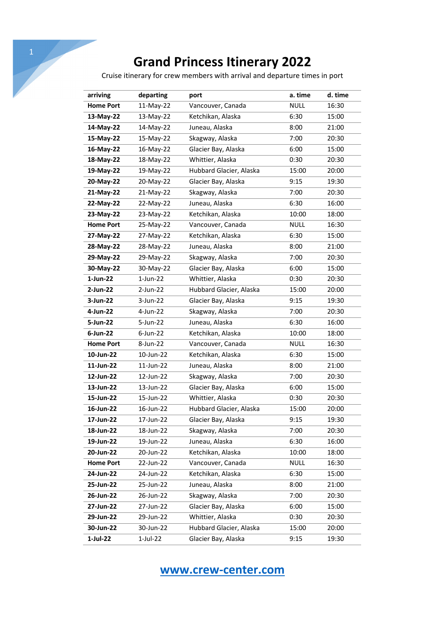Cruise itinerary for crew members with arrival and departure times in port

| arriving         | departing   | port                    | a. time     | d. time |
|------------------|-------------|-------------------------|-------------|---------|
| <b>Home Port</b> | 11-May-22   | Vancouver, Canada       | <b>NULL</b> | 16:30   |
| 13-May-22        | 13-May-22   | Ketchikan, Alaska       | 6:30        | 15:00   |
| 14-May-22        | 14-May-22   | Juneau, Alaska          | 8:00        | 21:00   |
| 15-May-22        | 15-May-22   | Skagway, Alaska         | 7:00        | 20:30   |
| 16-May-22        | 16-May-22   | Glacier Bay, Alaska     | 6:00        | 15:00   |
| 18-May-22        | 18-May-22   | Whittier, Alaska        | 0:30        | 20:30   |
| 19-May-22        | 19-May-22   | Hubbard Glacier, Alaska | 15:00       | 20:00   |
| 20-May-22        | 20-May-22   | Glacier Bay, Alaska     | 9:15        | 19:30   |
| 21-May-22        | 21-May-22   | Skagway, Alaska         | 7:00        | 20:30   |
| 22-May-22        | 22-May-22   | Juneau, Alaska          | 6:30        | 16:00   |
| 23-May-22        | 23-May-22   | Ketchikan, Alaska       | 10:00       | 18:00   |
| <b>Home Port</b> | 25-May-22   | Vancouver, Canada       | <b>NULL</b> | 16:30   |
| 27-May-22        | 27-May-22   | Ketchikan, Alaska       | 6:30        | 15:00   |
| 28-May-22        | 28-May-22   | Juneau, Alaska          | 8:00        | 21:00   |
| 29-May-22        | 29-May-22   | Skagway, Alaska         | 7:00        | 20:30   |
| 30-May-22        | 30-May-22   | Glacier Bay, Alaska     | 6:00        | 15:00   |
| $1$ -Jun-22      | $1$ -Jun-22 | Whittier, Alaska        | 0:30        | 20:30   |
| 2-Jun-22         | 2-Jun-22    | Hubbard Glacier, Alaska | 15:00       | 20:00   |
| $3$ -Jun-22      | 3-Jun-22    | Glacier Bay, Alaska     | 9:15        | 19:30   |
| 4-Jun-22         | 4-Jun-22    | Skagway, Alaska         | 7:00        | 20:30   |
| 5-Jun-22         | 5-Jun-22    | Juneau, Alaska          | 6:30        | 16:00   |
| $6$ -Jun-22      | $6$ -Jun-22 | Ketchikan, Alaska       | 10:00       | 18:00   |
| <b>Home Port</b> | 8-Jun-22    | Vancouver, Canada       | <b>NULL</b> | 16:30   |
| 10-Jun-22        | 10-Jun-22   | Ketchikan, Alaska       | 6:30        | 15:00   |
| 11-Jun-22        | 11-Jun-22   | Juneau, Alaska          | 8:00        | 21:00   |
| 12-Jun-22        | 12-Jun-22   | Skagway, Alaska         | 7:00        | 20:30   |
| 13-Jun-22        | 13-Jun-22   | Glacier Bay, Alaska     | 6:00        | 15:00   |
| 15-Jun-22        | 15-Jun-22   | Whittier, Alaska        | 0:30        | 20:30   |
| 16-Jun-22        | 16-Jun-22   | Hubbard Glacier, Alaska | 15:00       | 20:00   |
| 17-Jun-22        | 17-Jun-22   | Glacier Bay, Alaska     | 9:15        | 19:30   |
| 18-Jun-22        | 18-Jun-22   | Skagway, Alaska         | 7:00        | 20:30   |
| 19-Jun-22        | 19-Jun-22   | Juneau, Alaska          | 6:30        | 16:00   |
| 20-Jun-22        | 20-Jun-22   | Ketchikan, Alaska       | 10:00       | 18:00   |
| <b>Home Port</b> | 22-Jun-22   | Vancouver, Canada       | <b>NULL</b> | 16:30   |
| 24-Jun-22        | 24-Jun-22   | Ketchikan, Alaska       | 6:30        | 15:00   |
| 25-Jun-22        | 25-Jun-22   | Juneau, Alaska          | 8:00        | 21:00   |
| 26-Jun-22        | 26-Jun-22   | Skagway, Alaska         | 7:00        | 20:30   |
| 27-Jun-22        | 27-Jun-22   | Glacier Bay, Alaska     | 6:00        | 15:00   |
| 29-Jun-22        | 29-Jun-22   | Whittier, Alaska        | 0:30        | 20:30   |
| 30-Jun-22        | 30-Jun-22   | Hubbard Glacier, Alaska | 15:00       | 20:00   |
| 1-Jul-22         | 1-Jul-22    | Glacier Bay, Alaska     | 9:15        | 19:30   |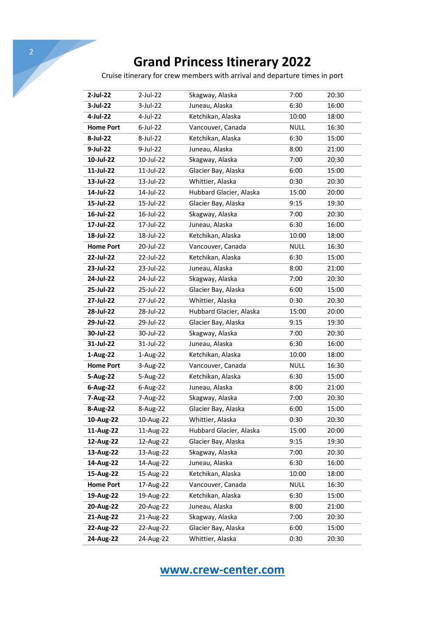Cruise itinerary for crew members with arrival and departure times in port

| 2-Jul-22         | 2-Jul-22    | Skagway, Alaska         | 7:00        | 20:30 |
|------------------|-------------|-------------------------|-------------|-------|
| 3-Jul-22         | 3-Jul-22    | Juneau, Alaska          | 6:30        | 16:00 |
| 4-Jul-22         | 4-Jul-22    | Ketchikan, Alaska       | 10:00       | 18:00 |
| <b>Home Port</b> | $6$ -Jul-22 | Vancouver, Canada       | <b>NULL</b> | 16:30 |
| 8-Jul-22         | 8-Jul-22    | Ketchikan, Alaska       | 6:30        | 15:00 |
| 9-Jul-22         | 9-Jul-22    | Juneau, Alaska          | 8:00        | 21:00 |
| 10-Jul-22        | 10-Jul-22   | Skagway, Alaska         | 7:00        | 20:30 |
| 11-Jul-22        | 11-Jul-22   | Glacier Bay, Alaska     | 6:00        | 15:00 |
| 13-Jul-22        | 13-Jul-22   | Whittier, Alaska        | 0:30        | 20:30 |
| 14-Jul-22        | 14-Jul-22   | Hubbard Glacier, Alaska | 15:00       | 20:00 |
| 15-Jul-22        | 15-Jul-22   | Glacier Bay, Alaska     | 9:15        | 19:30 |
| 16-Jul-22        | 16-Jul-22   | Skagway, Alaska         | 7:00        | 20:30 |
| 17-Jul-22        | 17-Jul-22   | Juneau, Alaska          | 6:30        | 16:00 |
| 18-Jul-22        | 18-Jul-22   | Ketchikan, Alaska       | 10:00       | 18:00 |
| <b>Home Port</b> | 20-Jul-22   | Vancouver, Canada       | <b>NULL</b> | 16:30 |
| 22-Jul-22        | 22-Jul-22   | Ketchikan, Alaska       | 6:30        | 15:00 |
| 23-Jul-22        | 23-Jul-22   | Juneau, Alaska          | 8:00        | 21:00 |
| 24-Jul-22        | 24-Jul-22   | Skagway, Alaska         | 7:00        | 20:30 |
| 25-Jul-22        | 25-Jul-22   | Glacier Bay, Alaska     | 6:00        | 15:00 |
| 27-Jul-22        | 27-Jul-22   | Whittier, Alaska        | 0:30        | 20:30 |
| 28-Jul-22        | 28-Jul-22   | Hubbard Glacier, Alaska | 15:00       | 20:00 |
| 29-Jul-22        | 29-Jul-22   | Glacier Bay, Alaska     | 9:15        | 19:30 |
| 30-Jul-22        | 30-Jul-22   | Skagway, Alaska         | 7:00        | 20:30 |
| 31-Jul-22        | 31-Jul-22   | Juneau, Alaska          | 6:30        | 16:00 |
| 1-Aug-22         | 1-Aug-22    | Ketchikan, Alaska       | 10:00       | 18:00 |
| <b>Home Port</b> | 3-Aug-22    | Vancouver, Canada       | <b>NULL</b> | 16:30 |
| 5-Aug-22         | 5-Aug-22    | Ketchikan, Alaska       | 6:30        | 15:00 |
| 6-Aug-22         | 6-Aug-22    | Juneau, Alaska          | 8:00        | 21:00 |
| 7-Aug-22         | 7-Aug-22    | Skagway, Alaska         | 7:00        | 20:30 |
| 8-Aug-22         | 8-Aug-22    | Glacier Bay, Alaska     | 6:00        | 15:00 |
| 10-Aug-22        | 10-Aug-22   | Whittier, Alaska        | 0:30        | 20:30 |
| 11-Aug-22        | 11-Aug-22   | Hubbard Glacier, Alaska | 15:00       | 20:00 |
| 12-Aug-22        | 12-Aug-22   | Glacier Bay, Alaska     | 9:15        | 19:30 |
| 13-Aug-22        | 13-Aug-22   | Skagway, Alaska         | 7:00        | 20:30 |
| 14-Aug-22        | 14-Aug-22   | Juneau, Alaska          | 6:30        | 16:00 |
| 15-Aug-22        | 15-Aug-22   | Ketchikan, Alaska       | 10:00       | 18:00 |
| <b>Home Port</b> | 17-Aug-22   | Vancouver, Canada       | <b>NULL</b> | 16:30 |
| 19-Aug-22        | 19-Aug-22   | Ketchikan, Alaska       | 6:30        | 15:00 |
| 20-Aug-22        | 20-Aug-22   | Juneau, Alaska          | 8:00        | 21:00 |
| 21-Aug-22        | 21-Aug-22   | Skagway, Alaska         | 7:00        | 20:30 |
| 22-Aug-22        | 22-Aug-22   | Glacier Bay, Alaska     | 6:00        | 15:00 |
| 24-Aug-22        | 24-Aug-22   | Whittier, Alaska        | 0:30        | 20:30 |
|                  |             |                         |             |       |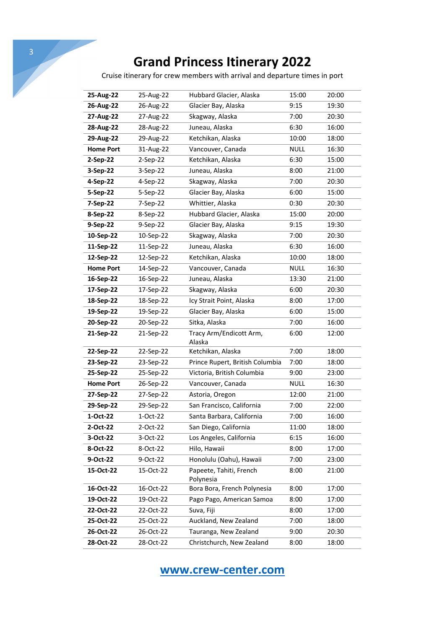Cruise itinerary for crew members with arrival and departure times in port

| 25-Aug-22  | Hubbard Glacier, Alaska              | 15:00       | 20:00 |
|------------|--------------------------------------|-------------|-------|
| 26-Aug-22  | Glacier Bay, Alaska                  | 9:15        | 19:30 |
| 27-Aug-22  | Skagway, Alaska                      | 7:00        | 20:30 |
| 28-Aug-22  | Juneau, Alaska                       | 6:30        | 16:00 |
| 29-Aug-22  | Ketchikan, Alaska                    | 10:00       | 18:00 |
| 31-Aug-22  | Vancouver, Canada                    | <b>NULL</b> | 16:30 |
| $2-Sep-22$ | Ketchikan, Alaska                    | 6:30        | 15:00 |
| $3-Sep-22$ | Juneau, Alaska                       | 8:00        | 21:00 |
| 4-Sep-22   | Skagway, Alaska                      | 7:00        | 20:30 |
| 5-Sep-22   | Glacier Bay, Alaska                  | 6:00        | 15:00 |
| 7-Sep-22   | Whittier, Alaska                     | 0:30        | 20:30 |
| 8-Sep-22   | Hubbard Glacier, Alaska              | 15:00       | 20:00 |
| 9-Sep-22   | Glacier Bay, Alaska                  | 9:15        | 19:30 |
| 10-Sep-22  | Skagway, Alaska                      | 7:00        | 20:30 |
| 11-Sep-22  | Juneau, Alaska                       | 6:30        | 16:00 |
| 12-Sep-22  | Ketchikan, Alaska                    | 10:00       | 18:00 |
| 14-Sep-22  | Vancouver, Canada                    | <b>NULL</b> | 16:30 |
| 16-Sep-22  | Juneau, Alaska                       | 13:30       | 21:00 |
| 17-Sep-22  | Skagway, Alaska                      | 6:00        | 20:30 |
| 18-Sep-22  | Icy Strait Point, Alaska             | 8:00        | 17:00 |
| 19-Sep-22  | Glacier Bay, Alaska                  | 6:00        | 15:00 |
| 20-Sep-22  | Sitka, Alaska                        | 7:00        | 16:00 |
| 21-Sep-22  | Tracy Arm/Endicott Arm,<br>Alaska    | 6:00        | 12:00 |
| 22-Sep-22  | Ketchikan, Alaska                    | 7:00        | 18:00 |
| 23-Sep-22  | Prince Rupert, British Columbia      | 7:00        | 18:00 |
| 25-Sep-22  | Victoria, British Columbia           | 9:00        | 23:00 |
| 26-Sep-22  | Vancouver, Canada                    | <b>NULL</b> | 16:30 |
| 27-Sep-22  | Astoria, Oregon                      | 12:00       | 21:00 |
| 29-Sep-22  | San Francisco, California            | 7:00        | 22:00 |
| 1-Oct-22   | Santa Barbara, California            | 7:00        | 16:00 |
| 2-Oct-22   | San Diego, California                | 11:00       | 18:00 |
| 3-Oct-22   | Los Angeles, California              | 6:15        | 16:00 |
| 8-Oct-22   | Hilo, Hawaii                         | 8:00        | 17:00 |
| 9-Oct-22   | Honolulu (Oahu), Hawaii              | 7:00        | 23:00 |
| 15-Oct-22  | Papeete, Tahiti, French<br>Polynesia | 8:00        | 21:00 |
| 16-Oct-22  | Bora Bora, French Polynesia          | 8:00        | 17:00 |
| 19-Oct-22  | Pago Pago, American Samoa            | 8:00        | 17:00 |
| 22-Oct-22  | Suva, Fiji                           | 8:00        | 17:00 |
|            | Auckland, New Zealand                | 7:00        | 18:00 |
|            |                                      |             |       |
| 26-Oct-22  | Tauranga, New Zealand                | 9:00        | 20:30 |
|            | 25-Oct-22                            |             |       |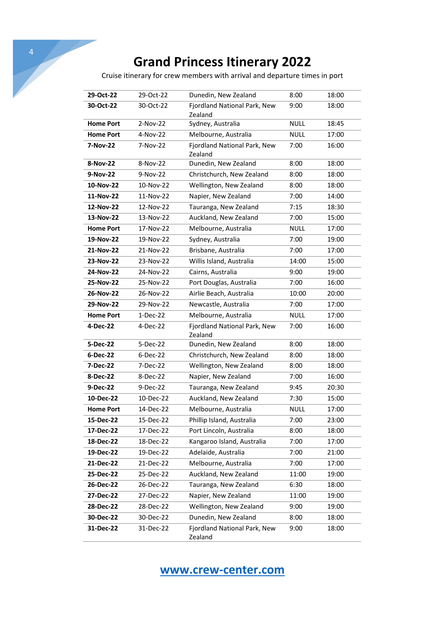4

Cruise itinerary for crew members with arrival and departure times in port

| 29-Oct-22        | 29-Oct-22  | Dunedin, New Zealand                    | 8:00        | 18:00 |
|------------------|------------|-----------------------------------------|-------------|-------|
| 30-Oct-22        | 30-Oct-22  | Fjordland National Park, New<br>Zealand | 9:00        | 18:00 |
| <b>Home Port</b> | $2-Nov-22$ | Sydney, Australia                       | <b>NULL</b> | 18:45 |
| <b>Home Port</b> | 4-Nov-22   | Melbourne, Australia                    | <b>NULL</b> | 17:00 |
| 7-Nov-22         | 7-Nov-22   | Fjordland National Park, New<br>Zealand | 7:00        | 16:00 |
| 8-Nov-22         | 8-Nov-22   | Dunedin, New Zealand                    | 8:00        | 18:00 |
| 9-Nov-22         | 9-Nov-22   | Christchurch, New Zealand               | 8:00        | 18:00 |
| 10-Nov-22        | 10-Nov-22  | Wellington, New Zealand                 | 8:00        | 18:00 |
| 11-Nov-22        | 11-Nov-22  | Napier, New Zealand                     | 7:00        | 14:00 |
| 12-Nov-22        | 12-Nov-22  | Tauranga, New Zealand                   | 7:15        | 18:30 |
| 13-Nov-22        | 13-Nov-22  | Auckland, New Zealand                   | 7:00        | 15:00 |
| <b>Home Port</b> | 17-Nov-22  | Melbourne, Australia                    | <b>NULL</b> | 17:00 |
| 19-Nov-22        | 19-Nov-22  | Sydney, Australia                       | 7:00        | 19:00 |
| 21-Nov-22        | 21-Nov-22  | Brisbane, Australia                     | 7:00        | 17:00 |
| 23-Nov-22        | 23-Nov-22  | Willis Island, Australia                | 14:00       | 15:00 |
| 24-Nov-22        | 24-Nov-22  | Cairns, Australia                       | 9:00        | 19:00 |
| 25-Nov-22        | 25-Nov-22  | Port Douglas, Australia                 | 7:00        | 16:00 |
| 26-Nov-22        | 26-Nov-22  | Airlie Beach, Australia                 | 10:00       | 20:00 |
| 29-Nov-22        | 29-Nov-22  | Newcastle, Australia                    | 7:00        | 17:00 |
| <b>Home Port</b> | 1-Dec-22   | Melbourne, Australia                    | <b>NULL</b> | 17:00 |
| 4-Dec-22         | 4-Dec-22   | Fjordland National Park, New<br>Zealand | 7:00        | 16:00 |
| 5-Dec-22         | 5-Dec-22   | Dunedin, New Zealand                    | 8:00        | 18:00 |
| 6-Dec-22         | $6-Dec-22$ | Christchurch, New Zealand               | 8:00        | 18:00 |
| 7-Dec-22         | 7-Dec-22   | Wellington, New Zealand                 | 8:00        | 18:00 |
| 8-Dec-22         | 8-Dec-22   | Napier, New Zealand                     | 7:00        | 16:00 |
| 9-Dec-22         | 9-Dec-22   | Tauranga, New Zealand                   | 9:45        | 20:30 |
| 10-Dec-22        | 10-Dec-22  | Auckland, New Zealand                   | 7:30        | 15:00 |
| <b>Home Port</b> | 14-Dec-22  | Melbourne, Australia                    | <b>NULL</b> | 17:00 |
| 15-Dec-22        | 15-Dec-22  | Phillip Island, Australia               | 7:00        | 23:00 |
| 17-Dec-22        | 17-Dec-22  | Port Lincoln, Australia                 | 8:00        | 18:00 |
| 18-Dec-22        | 18-Dec-22  | Kangaroo Island, Australia              | 7:00        | 17:00 |
| 19-Dec-22        | 19-Dec-22  | Adelaide, Australia                     | 7:00        | 21:00 |
| 21-Dec-22        | 21-Dec-22  | Melbourne, Australia                    | 7:00        | 17:00 |
| 25-Dec-22        | 25-Dec-22  | Auckland, New Zealand                   | 11:00       | 19:00 |
| 26-Dec-22        | 26-Dec-22  | Tauranga, New Zealand                   | 6:30        | 18:00 |
| 27-Dec-22        | 27-Dec-22  | Napier, New Zealand                     | 11:00       | 19:00 |
| 28-Dec-22        | 28-Dec-22  | Wellington, New Zealand                 | 9:00        | 19:00 |
| 30-Dec-22        | 30-Dec-22  | Dunedin, New Zealand                    | 8:00        | 18:00 |
| 31-Dec-22        | 31-Dec-22  | Fjordland National Park, New<br>Zealand | 9:00        | 18:00 |